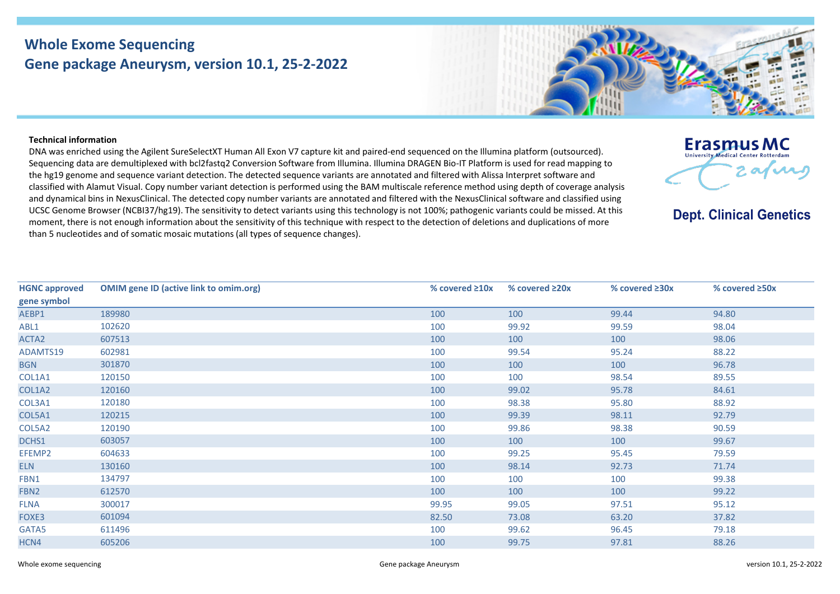## **Whole Exome Sequencing Gene package Aneurysm, version 10.1, 25-2-2022**



## **Technical information**

DNA was enriched using the Agilent SureSelectXT Human All Exon V7 capture kit and paired-end sequenced on the Illumina platform (outsourced). Sequencing data are demultiplexed with bcl2fastq2 Conversion Software from Illumina. Illumina DRAGEN Bio-IT Platform is used for read mapping to the hg19 genome and sequence variant detection. The detected sequence variants are annotated and filtered with Alissa Interpret software and classified with Alamut Visual. Copy number variant detection is performed using the BAM multiscale reference method using depth of coverage analysis and dynamical bins in NexusClinical. The detected copy number variants are annotated and filtered with the NexusClinical software and classified using UCSC Genome Browser (NCBI37/hg19). The sensitivity to detect variants using this technology is not 100%; pathogenic variants could be missed. At this moment, there is not enough information about the sensitivity of this technique with respect to the detection of deletions and duplications of more than 5 nucleotides and of somatic mosaic mutations (all types of sequence changes).

| <b>HGNC approved</b> | <b>OMIM gene ID (active link to omim.org)</b> | % covered $\geq 10x$ | % covered $\geq 20x$ | % covered $\geq 30x$ | % covered $\geq$ 50x |
|----------------------|-----------------------------------------------|----------------------|----------------------|----------------------|----------------------|
| gene symbol          |                                               |                      |                      |                      |                      |
| AEBP1                | 189980                                        | 100                  | 100                  | 99.44                | 94.80                |
| ABL1                 | 102620                                        | 100                  | 99.92                | 99.59                | 98.04                |
| ACTA2                | 607513                                        | 100                  | 100                  | 100                  | 98.06                |
| ADAMTS19             | 602981                                        | 100                  | 99.54                | 95.24                | 88.22                |
| <b>BGN</b>           | 301870                                        | 100                  | 100                  | 100                  | 96.78                |
| COL1A1               | 120150                                        | 100                  | 100                  | 98.54                | 89.55                |
| COL1A2               | 120160                                        | 100                  | 99.02                | 95.78                | 84.61                |
| COL3A1               | 120180                                        | 100                  | 98.38                | 95.80                | 88.92                |
| COL5A1               | 120215                                        | 100                  | 99.39                | 98.11                | 92.79                |
| COL5A2               | 120190                                        | 100                  | 99.86                | 98.38                | 90.59                |
| DCHS1                | 603057                                        | 100                  | 100                  | 100                  | 99.67                |
| EFEMP2               | 604633                                        | 100                  | 99.25                | 95.45                | 79.59                |
| <b>ELN</b>           | 130160                                        | 100                  | 98.14                | 92.73                | 71.74                |
| FBN1                 | 134797                                        | 100                  | 100                  | 100                  | 99.38                |
| FBN <sub>2</sub>     | 612570                                        | 100                  | 100                  | 100                  | 99.22                |
| <b>FLNA</b>          | 300017                                        | 99.95                | 99.05                | 97.51                | 95.12                |
| FOXE3                | 601094                                        | 82.50                | 73.08                | 63.20                | 37.82                |
| GATA5                | 611496                                        | 100                  | 99.62                | 96.45                | 79.18                |
| HCN4                 | 605206                                        | 100                  | 99.75                | 97.81                | 88.26                |



**Dept. Clinical Genetics**